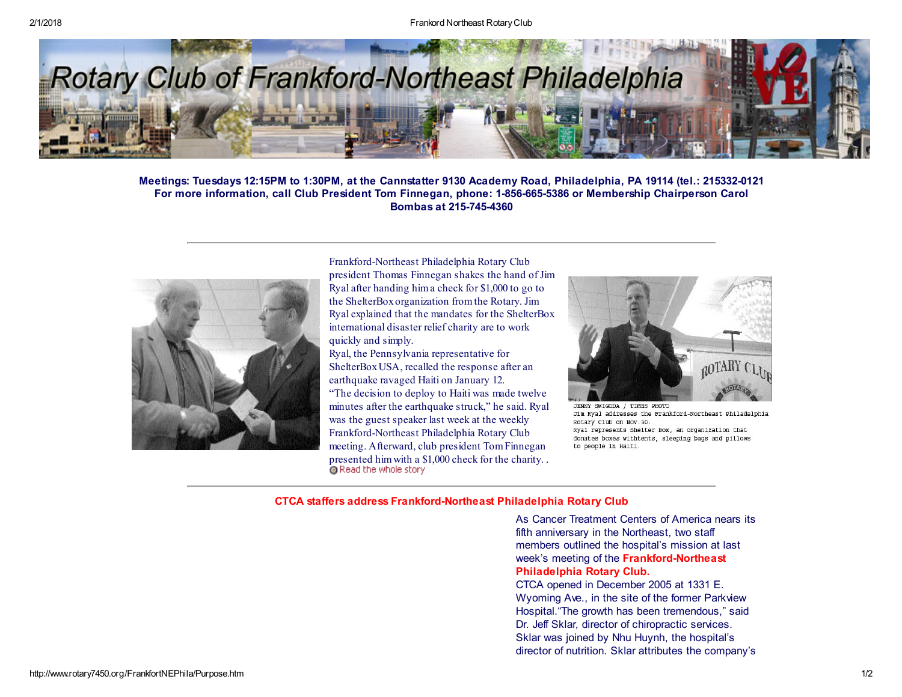

Meetings: Tuesdays 12:15PM to 1:30PM, at the Cannstatter 9130 Academy Road, Philadelphia, PA 19114 (tel.: 215332-0121 For more information, call Club President Tom Finnegan, phone: 1-856-665-5386 or Membership Chairperson Carol Bombas at 215-745-4360



Frankford-Northeast Philadelphia Rotary Club president Thomas Finnegan shakes the hand of Jim Ryal after handing hima check for \$1,000 to go to the ShelterBoxorganization fromthe Rotary. Jim Ryal explained that the mandates for the ShelterBox international disaster relief charity are to work quickly and simply.

Ryal, the Pennsylvania representative for ShelterBoxUSA, recalled the response after an earthquake ravaged Haiti on January 12. "The decision to deploy to Haiti was made twelve minutes after the earthquake struck," he said. Ryal was the guest speaker last week at the weekly Frankford-Northeast Philadelphia Rotary Club meeting. Afterward, club president TomFinnegan [presented](http://www.rotary7450.org/FrankfortNEPhila/ShelterBox-Article-FrankfordNortheast-Club.pdf) him with a \$1,000 check for the charity. . <br> **Q** Read the whole story



JENNY SWIGODA / TIMES PHOTO Jim Ryal addresses the Frankford-Northeast Philadelphia Rotary Club on Nov.30. Ryal represents Shelter Box, an organization that donates boxes withtents, sleeping bags and pillows to people in Haiti.

## CTCA staffers address Frankford-Northeast Philadelphia Rotary Club

As Cancer Treatment Centers of America nears its fifth anniversary in the Northeast, two staff members outlined the hospital's mission at last week's meeting of the Frankford-Northeast Philadelphia Rotary Club.

CTCA opened in December 2005 at 1331 E. Wyoming Ave., in the site of the former Parkview Hospital."The growth has been tremendous," said Dr. Jeff Sklar, director of chiropractic services. Sklar was joined by Nhu Huynh, the hospital's director of nutrition. Sklar attributes the company's